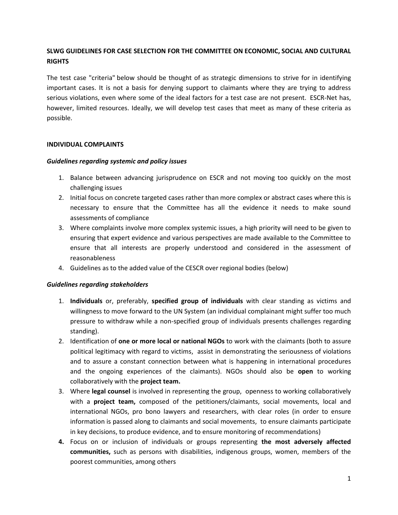# **SLWG GUIDELINES FOR CASE SELECTION FOR THE COMMITTEE ON ECONOMIC, SOCIAL AND CULTURAL RIGHTS**

The test case "criteria" below should be thought of as strategic dimensions to strive for in identifying important cases. It is not a basis for denying support to claimants where they are trying to address serious violations, even where some of the ideal factors for a test case are not present. ESCR-Net has, however, limited resources. Ideally, we will develop test cases that meet as many of these criteria as possible.

## **INDIVIDUAL COMPLAINTS**

#### *Guidelines regarding systemic and policy issues*

- 1. Balance between advancing jurisprudence on ESCR and not moving too quickly on the most challenging issues
- 2. Initial focus on concrete targeted cases rather than more complex or abstract cases where this is necessary to ensure that the Committee has all the evidence it needs to make sound assessments of compliance
- 3. Where complaints involve more complex systemic issues, a high priority will need to be given to ensuring that expert evidence and various perspectives are made available to the Committee to ensure that all interests are properly understood and considered in the assessment of reasonableness
- 4. Guidelines as to the added value of the CESCR over regional bodies (below)

## *Guidelines regarding stakeholders*

- 1. **Individuals** or, preferably, **specified group of individuals** with clear standing as victims and willingness to move forward to the UN System (an individual complainant might suffer too much pressure to withdraw while a non-specified group of individuals presents challenges regarding standing).
- 2. Identification of **one or more local or national NGOs** to work with the claimants (both to assure political legitimacy with regard to victims, assist in demonstrating the seriousness of violations and to assure a constant connection between what is happening in international procedures and the ongoing experiences of the claimants). NGOs should also be **open** to working collaboratively with the **project team.**
- 3. Where **legal counsel** is involved in representing the group, openness to working collaboratively with a **project team,** composed of the petitioners/claimants, social movements, local and international NGOs, pro bono lawyers and researchers, with clear roles (in order to ensure information is passed along to claimants and social movements, to ensure claimants participate in key decisions, to produce evidence, and to ensure monitoring of recommendations)
- **4.** Focus on or inclusion of individuals or groups representing **the most adversely affected communities,** such as persons with disabilities, indigenous groups, women, members of the poorest communities, among others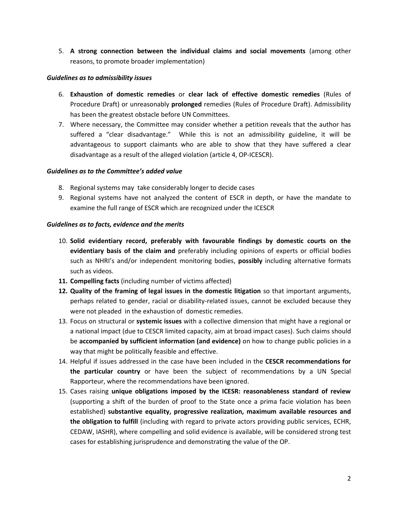5. **A strong connection between the individual claims and social movements** (among other reasons, to promote broader implementation)

## *Guidelines as to admissibility issues*

- 6. **Exhaustion of domestic remedies** or **clear lack of effective domestic remedies** (Rules of Procedure Draft) or unreasonably **prolonged** remedies (Rules of Procedure Draft). Admissibility has been the greatest obstacle before UN Committees.
- 7. Where necessary, the Committee may consider whether a petition reveals that the author has suffered a "clear disadvantage." While this is not an admissibility guideline, it will be advantageous to support claimants who are able to show that they have suffered a clear disadvantage as a result of the alleged violation (article 4, OP-ICESCR).

## *Guidelines as to the Committee's added value*

- 8. Regional systems may take considerably longer to decide cases
- 9. Regional systems have not analyzed the content of ESCR in depth, or have the mandate to examine the full range of ESCR which are recognized under the ICESCR

## *Guidelines as to facts, evidence and the merits*

- 10. **Solid evidentiary record, preferably with favourable findings by domestic courts on the evidentiary basis of the claim and** preferably including opinions of experts or official bodies such as NHRI's and/or independent monitoring bodies, **possibly** including alternative formats such as videos.
- **11. Compelling facts** (including number of victims affected)
- **12. Quality of the framing of legal issues in the domestic litigation** so that important arguments, perhaps related to gender, racial or disability-related issues, cannot be excluded because they were not pleaded in the exhaustion of domestic remedies.
- 13. Focus on structural or **systemic issues** with a collective dimension that might have a regional or a national impact (due to CESCR limited capacity, aim at broad impact cases). Such claims should be **accompanied by sufficient information (and evidence)** on how to change public policies in a way that might be politically feasible and effective.
- 14. Helpful if issues addressed in the case have been included in the **CESCR recommendations for the particular country** or have been the subject of recommendations by a UN Special Rapporteur, where the recommendations have been ignored.
- 15. Cases raising **unique obligations imposed by the ICESR: reasonableness standard of review** (supporting a shift of the burden of proof to the State once a prima facie violation has been established) **substantive equality, progressive realization, maximum available resources and the obligation to fulfill** (including with regard to private actors providing public services, ECHR, CEDAW, IASHR), where compelling and solid evidence is available, will be considered strong test cases for establishing jurisprudence and demonstrating the value of the OP.